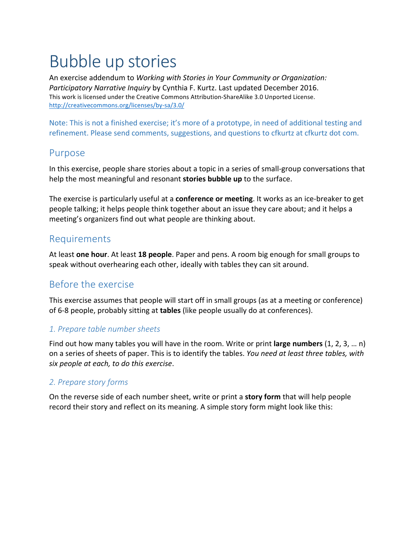# Bubble up stories

An exercise addendum to *Working with Stories in Your Community or Organization: Participatory Narrative Inquiry* by Cynthia F. Kurtz. Last updated December 2016. This work is licensed under the Creative Commons Attribution-ShareAlike 3.0 Unported License. http://creativecommons.org/licenses/by-sa/3.0/

Note: This is not a finished exercise; it's more of a prototype, in need of additional testing and refinement. Please send comments, suggestions, and questions to cfkurtz at cfkurtz dot com.

## Purpose

In this exercise, people share stories about a topic in a series of small-group conversations that help the most meaningful and resonant **stories bubble up** to the surface.

The exercise is particularly useful at a **conference or meeting**. It works as an ice-breaker to get people talking; it helps people think together about an issue they care about; and it helps a meeting's organizers find out what people are thinking about.

## Requirements

At least one hour. At least 18 people. Paper and pens. A room big enough for small groups to speak without overhearing each other, ideally with tables they can sit around.

# Before the exercise

This exercise assumes that people will start off in small groups (as at a meeting or conference) of 6-8 people, probably sitting at **tables** (like people usually do at conferences).

### *1. Prepare table number sheets*

Find out how many tables you will have in the room. Write or print **large numbers** (1, 2, 3, ... n) on a series of sheets of paper. This is to identify the tables. You need at least three tables, with *six people at each, to do this exercise*.

## *2. Prepare story forms*

On the reverse side of each number sheet, write or print a **story form** that will help people record their story and reflect on its meaning. A simple story form might look like this: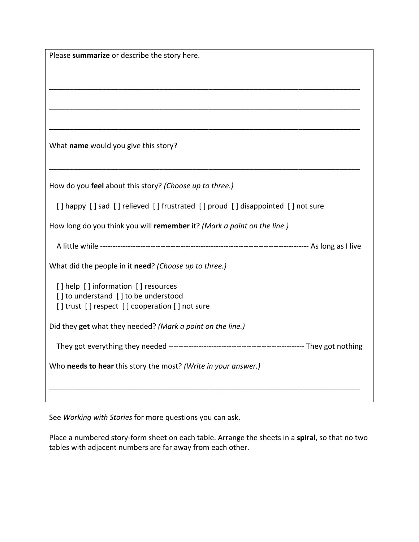| Please summarize or describe the story here.                                   |  |
|--------------------------------------------------------------------------------|--|
|                                                                                |  |
|                                                                                |  |
|                                                                                |  |
|                                                                                |  |
|                                                                                |  |
|                                                                                |  |
| What name would you give this story?                                           |  |
|                                                                                |  |
|                                                                                |  |
| How do you feel about this story? (Choose up to three.)                        |  |
|                                                                                |  |
| [] happy [] sad [] relieved [] frustrated [] proud [] disappointed [] not sure |  |
| How long do you think you will remember it? (Mark a point on the line.)        |  |
|                                                                                |  |
|                                                                                |  |
| What did the people in it need? (Choose up to three.)                          |  |
|                                                                                |  |
| [] help [] information [] resources<br>[] to understand [] to be understood    |  |
| [] trust [] respect [] cooperation [] not sure                                 |  |
|                                                                                |  |
| Did they get what they needed? (Mark a point on the line.)                     |  |
|                                                                                |  |
|                                                                                |  |
| Who needs to hear this story the most? (Write in your answer.)                 |  |
|                                                                                |  |
|                                                                                |  |

See Working with Stories for more questions you can ask.

Place a numbered story-form sheet on each table. Arrange the sheets in a **spiral**, so that no two tables with adjacent numbers are far away from each other.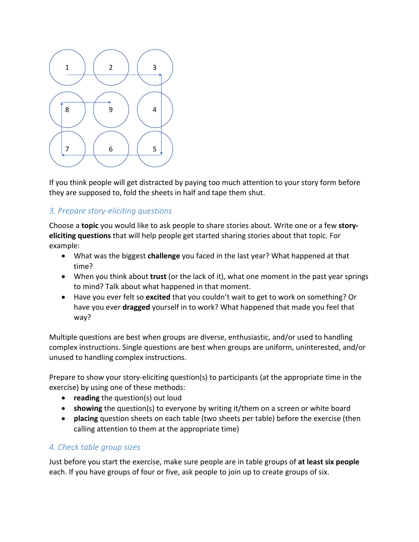

If you think people will get distracted by paying too much attention to your story form before they are supposed to, fold the sheets in half and tape them shut.

## *3. Prepare story-eliciting questions*

Choose a **topic** you would like to ask people to share stories about. Write one or a few story**eliciting questions** that will help people get started sharing stories about that topic. For example:

- What was the biggest **challenge** you faced in the last year? What happened at that time?
- When you think about **trust** (or the lack of it), what one moment in the past year springs to mind? Talk about what happened in that moment.
- Have you ever felt so excited that you couldn't wait to get to work on something? Or have you ever **dragged** yourself in to work? What happened that made you feel that way?

Multiple questions are best when groups are diverse, enthusiastic, and/or used to handling complex instructions. Single questions are best when groups are uniform, uninterested, and/or unused to handling complex instructions.

Prepare to show your story-eliciting question(s) to participants (at the appropriate time in the exercise) by using one of these methods:

- **reading** the question(s) out loud
- **showing** the question(s) to everyone by writing it/them on a screen or white board
- **placing** question sheets on each table (two sheets per table) before the exercise (then calling attention to them at the appropriate time)

### *4. Check table group sizes*

Just before you start the exercise, make sure people are in table groups of at least six people each. If you have groups of four or five, ask people to join up to create groups of six.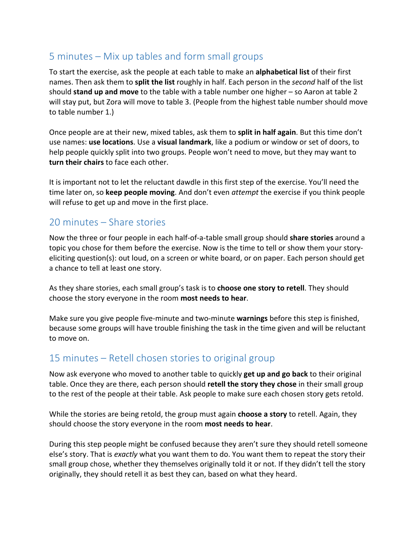# $5$  minutes  $-$  Mix up tables and form small groups

To start the exercise, ask the people at each table to make an **alphabetical list** of their first names. Then ask them to **split the list** roughly in half. Each person in the *second* half of the list should **stand up and move** to the table with a table number one higher – so Aaron at table 2 will stay put, but Zora will move to table 3. (People from the highest table number should move to table number 1.)

Once people are at their new, mixed tables, ask them to **split in half again**. But this time don't use names: **use locations**. Use a **visual landmark**, like a podium or window or set of doors, to help people quickly split into two groups. People won't need to move, but they may want to **turn their chairs** to face each other.

It is important not to let the reluctant dawdle in this first step of the exercise. You'll need the time later on, so **keep people moving**. And don't even *attempt* the exercise if you think people will refuse to get up and move in the first place.

# $20$  minutes  $-$  Share stories

Now the three or four people in each half-of-a-table small group should **share stories** around a topic you chose for them before the exercise. Now is the time to tell or show them your storyeliciting question(s): out loud, on a screen or white board, or on paper. Each person should get a chance to tell at least one story.

As they share stories, each small group's task is to **choose one story to retell**. They should choose the story everyone in the room **most needs to hear**.

Make sure you give people five-minute and two-minute **warnings** before this step is finished, because some groups will have trouble finishing the task in the time given and will be reluctant to move on.

# 15 minutes – Retell chosen stories to original group

Now ask everyone who moved to another table to quickly **get up and go back** to their original table. Once they are there, each person should **retell the story they chose** in their small group to the rest of the people at their table. Ask people to make sure each chosen story gets retold.

While the stories are being retold, the group must again **choose a story** to retell. Again, they should choose the story everyone in the room **most needs to hear**.

During this step people might be confused because they aren't sure they should retell someone else's story. That is *exactly* what you want them to do. You want them to repeat the story their small group chose, whether they themselves originally told it or not. If they didn't tell the story originally, they should retell it as best they can, based on what they heard.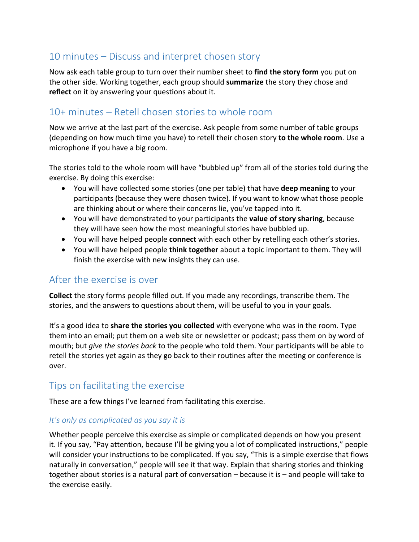# $10$  minutes  $-$  Discuss and interpret chosen story

Now ask each table group to turn over their number sheet to find the story form you put on the other side. Working together, each group should **summarize** the story they chose and **reflect** on it by answering your questions about it.

# 10+ minutes – Retell chosen stories to whole room

Now we arrive at the last part of the exercise. Ask people from some number of table groups (depending on how much time you have) to retell their chosen story **to the whole room**. Use a microphone if you have a big room.

The stories told to the whole room will have "bubbled up" from all of the stories told during the exercise. By doing this exercise:

- You will have collected some stories (one per table) that have **deep meaning** to your participants (because they were chosen twice). If you want to know what those people are thinking about or where their concerns lie, you've tapped into it.
- You will have demonstrated to your participants the **value of story sharing**, because they will have seen how the most meaningful stories have bubbled up.
- You will have helped people **connect** with each other by retelling each other's stories.
- You will have helped people **think together** about a topic important to them. They will finish the exercise with new insights they can use.

# After the exercise is over

**Collect** the story forms people filled out. If you made any recordings, transcribe them. The stories, and the answers to questions about them, will be useful to you in your goals.

It's a good idea to **share the stories you collected** with everyone who was in the room. Type them into an email; put them on a web site or newsletter or podcast; pass them on by word of mouth; but *give the stories back* to the people who told them. Your participants will be able to retell the stories yet again as they go back to their routines after the meeting or conference is over. 

# Tips on facilitating the exercise

These are a few things I've learned from facilitating this exercise.

### *It's* only as complicated as you say it is

Whether people perceive this exercise as simple or complicated depends on how you present it. If you say, "Pay attention, because I'll be giving you a lot of complicated instructions," people will consider your instructions to be complicated. If you say, "This is a simple exercise that flows naturally in conversation," people will see it that way. Explain that sharing stories and thinking together about stories is a natural part of conversation – because it is – and people will take to the exercise easily.